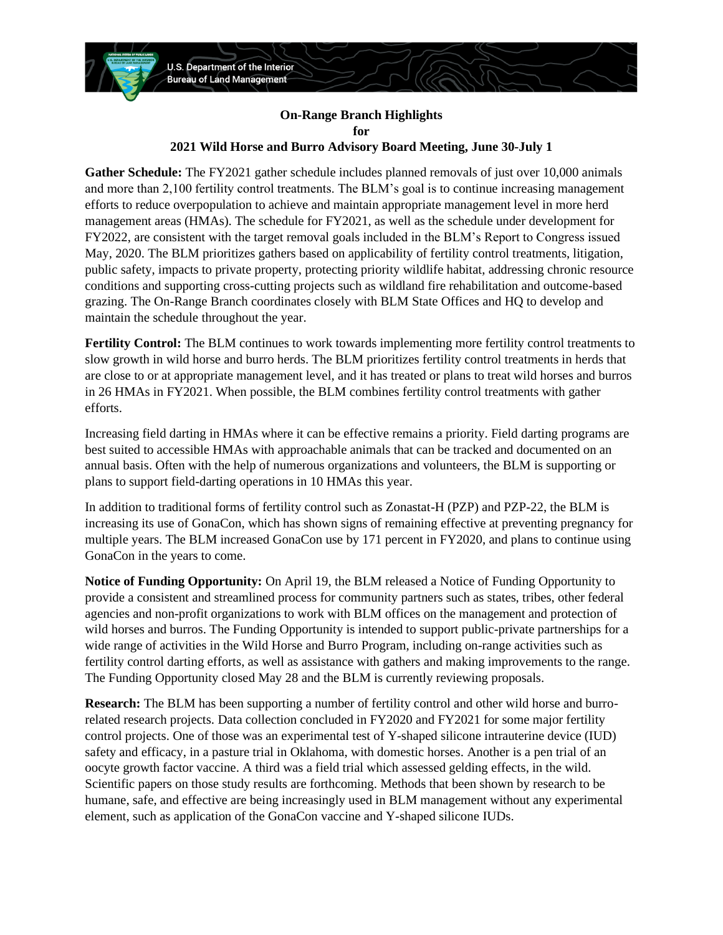

## **On-Range Branch Highlights for 2021 Wild Horse and Burro Advisory Board Meeting, June 30-July 1**

**Gather Schedule:** The FY2021 gather schedule includes planned removals of just over 10,000 animals and more than 2,100 fertility control treatments. The BLM's goal is to continue increasing management efforts to reduce overpopulation to achieve and maintain appropriate management level in more herd management areas (HMAs). The schedule for FY2021, as well as the schedule under development for FY2022, are consistent with the target removal goals included in the BLM's Report to Congress issued May, 2020. The BLM prioritizes gathers based on applicability of fertility control treatments, litigation, public safety, impacts to private property, protecting priority wildlife habitat, addressing chronic resource conditions and supporting cross-cutting projects such as wildland fire rehabilitation and outcome-based grazing. The On-Range Branch coordinates closely with BLM State Offices and HQ to develop and maintain the schedule throughout the year.

**Fertility Control:** The BLM continues to work towards implementing more fertility control treatments to slow growth in wild horse and burro herds. The BLM prioritizes fertility control treatments in herds that are close to or at appropriate management level, and it has treated or plans to treat wild horses and burros in 26 HMAs in FY2021. When possible, the BLM combines fertility control treatments with gather efforts.

Increasing field darting in HMAs where it can be effective remains a priority. Field darting programs are best suited to accessible HMAs with approachable animals that can be tracked and documented on an annual basis. Often with the help of numerous organizations and volunteers, the BLM is supporting or plans to support field-darting operations in 10 HMAs this year.

In addition to traditional forms of fertility control such as Zonastat-H (PZP) and PZP-22, the BLM is increasing its use of GonaCon, which has shown signs of remaining effective at preventing pregnancy for multiple years. The BLM increased GonaCon use by 171 percent in FY2020, and plans to continue using GonaCon in the years to come.

**Notice of Funding Opportunity:** On April 19, the BLM released a Notice of Funding Opportunity to provide a consistent and streamlined process for community partners such as states, tribes, other federal agencies and non-profit organizations to work with BLM offices on the management and protection of wild horses and burros. The Funding Opportunity is intended to support public-private partnerships for a wide range of activities in the Wild Horse and Burro Program, including on-range activities such as fertility control darting efforts, as well as assistance with gathers and making improvements to the range. The Funding Opportunity closed May 28 and the BLM is currently reviewing proposals.

**Research:** The BLM has been supporting a number of fertility control and other wild horse and burrorelated research projects. Data collection concluded in FY2020 and FY2021 for some major fertility control projects. One of those was an experimental test of Y-shaped silicone intrauterine device (IUD) safety and efficacy, in a pasture trial in Oklahoma, with domestic horses. Another is a pen trial of an oocyte growth factor vaccine. A third was a field trial which assessed gelding effects, in the wild. Scientific papers on those study results are forthcoming. Methods that been shown by research to be humane, safe, and effective are being increasingly used in BLM management without any experimental element, such as application of the GonaCon vaccine and Y-shaped silicone IUDs.